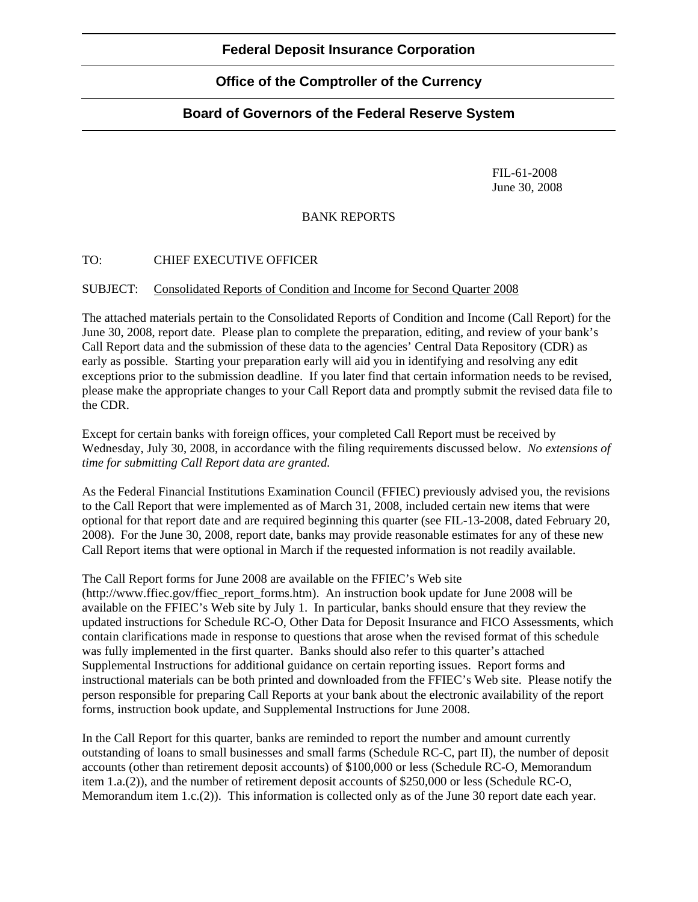# **Office of the Comptroller of the Currency**

## **Board of Governors of the Federal Reserve System**

 FIL-61-2008 June 30, 2008

#### BANK REPORTS

### TO: CHIEF EXECUTIVE OFFICER

#### SUBJECT: Consolidated Reports of Condition and Income for Second Quarter 2008

The attached materials pertain to the Consolidated Reports of Condition and Income (Call Report) for the June 30, 2008, report date. Please plan to complete the preparation, editing, and review of your bank's Call Report data and the submission of these data to the agencies' Central Data Repository (CDR) as early as possible. Starting your preparation early will aid you in identifying and resolving any edit exceptions prior to the submission deadline. If you later find that certain information needs to be revised, please make the appropriate changes to your Call Report data and promptly submit the revised data file to the CDR.

Except for certain banks with foreign offices, your completed Call Report must be received by Wednesday, July 30, 2008, in accordance with the filing requirements discussed below. *No extensions of time for submitting Call Report data are granted.* 

As the Federal Financial Institutions Examination Council (FFIEC) previously advised you, the revisions to the Call Report that were implemented as of March 31, 2008, included certain new items that were optional for that report date and are required beginning this quarter (see FIL-13-2008, dated February 20, 2008). For the June 30, 2008, report date, banks may provide reasonable estimates for any of these new Call Report items that were optional in March if the requested information is not readily available.

The Call Report forms for June 2008 are available on the FFIEC's Web site

(http://www.ffiec.gov/ffiec\_report\_forms.htm). An instruction book update for June 2008 will be available on the FFIEC's Web site by July 1. In particular, banks should ensure that they review the updated instructions for Schedule RC-O, Other Data for Deposit Insurance and FICO Assessments, which contain clarifications made in response to questions that arose when the revised format of this schedule was fully implemented in the first quarter. Banks should also refer to this quarter's attached Supplemental Instructions for additional guidance on certain reporting issues. Report forms and instructional materials can be both printed and downloaded from the FFIEC's Web site. Please notify the person responsible for preparing Call Reports at your bank about the electronic availability of the report forms, instruction book update, and Supplemental Instructions for June 2008.

In the Call Report for this quarter, banks are reminded to report the number and amount currently outstanding of loans to small businesses and small farms (Schedule RC-C, part II), the number of deposit accounts (other than retirement deposit accounts) of \$100,000 or less (Schedule RC-O, Memorandum item 1.a.(2)), and the number of retirement deposit accounts of \$250,000 or less (Schedule RC-O, Memorandum item 1.c.(2)). This information is collected only as of the June 30 report date each year.